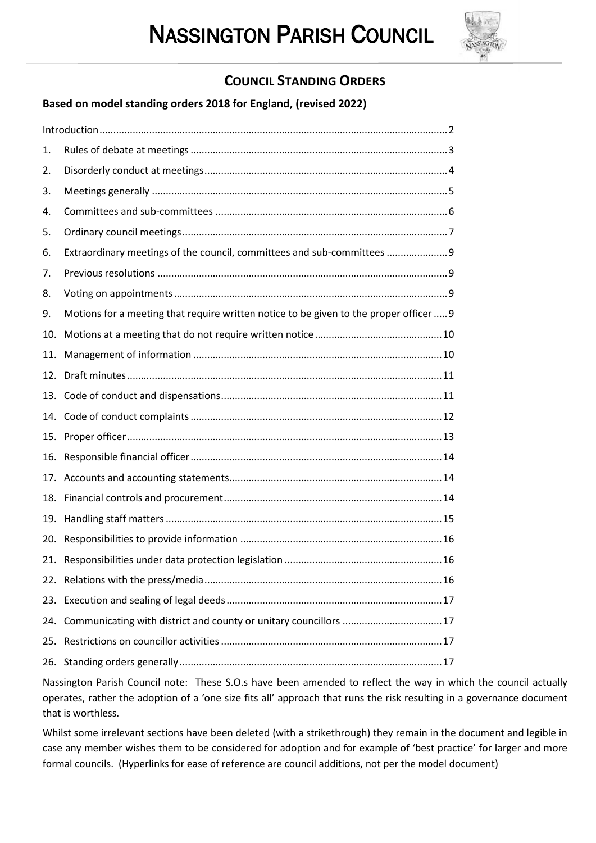

# **COUNCIL STANDING ORDERS**

 $\overline{a}$ 

**Based on model standing orders 2018 for England, (revised 2022)**

| 1.  |                                                                                        |
|-----|----------------------------------------------------------------------------------------|
| 2.  |                                                                                        |
| 3.  |                                                                                        |
| 4.  |                                                                                        |
| 5.  |                                                                                        |
| 6.  | Extraordinary meetings of the council, committees and sub-committees  9                |
| 7.  |                                                                                        |
| 8.  |                                                                                        |
| 9.  | Motions for a meeting that require written notice to be given to the proper officer  9 |
| 10. |                                                                                        |
| 11. |                                                                                        |
| 12. |                                                                                        |
|     |                                                                                        |
|     |                                                                                        |
|     |                                                                                        |
| 16. |                                                                                        |
|     |                                                                                        |
| 18. |                                                                                        |
| 19. |                                                                                        |
| 20. |                                                                                        |
|     |                                                                                        |
|     |                                                                                        |
|     |                                                                                        |
| 24. | Communicating with district and county or unitary councillors 17                       |
|     |                                                                                        |
| 26. |                                                                                        |

Nassington Parish Council note: These S.O.s have been amended to reflect the way in which the council actually operates, rather the adoption of a 'one size fits all' approach that runs the risk resulting in a governance document that is worthless.

Whilst some irrelevant sections have been deleted (with a strikethrough) they remain in the document and legible in case any member wishes them to be considered for adoption and for example of 'best practice' for larger and more formal councils. (Hyperlinks for ease of reference are council additions, not per the model document)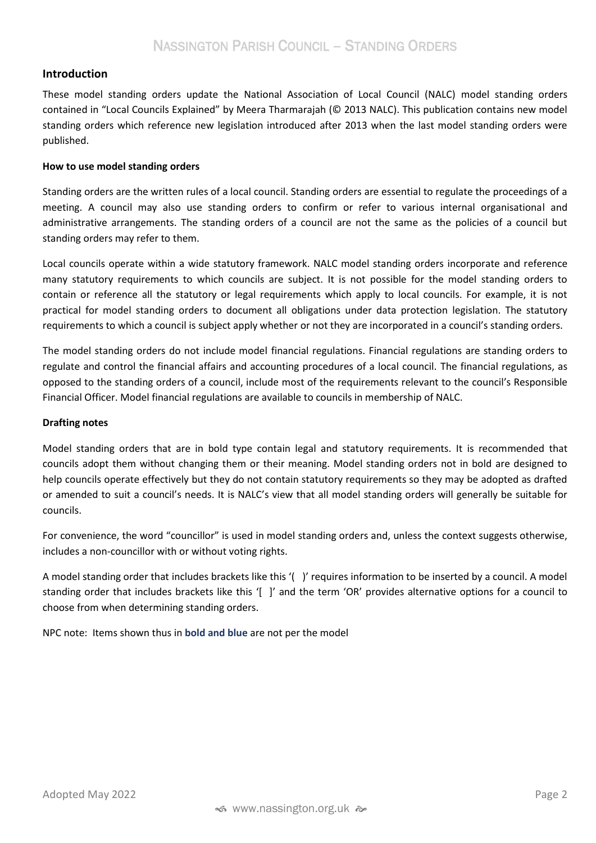# <span id="page-1-0"></span>**Introduction**

These model standing orders update the National Association of Local Council (NALC) model standing orders contained in "Local Councils Explained" by Meera Tharmarajah (© 2013 NALC). This publication contains new model standing orders which reference new legislation introduced after 2013 when the last model standing orders were published.

#### **How to use model standing orders**

Standing orders are the written rules of a local council. Standing orders are essential to regulate the proceedings of a meeting. A council may also use standing orders to confirm or refer to various internal organisational and administrative arrangements. The standing orders of a council are not the same as the policies of a council but standing orders may refer to them.

Local councils operate within a wide statutory framework. NALC model standing orders incorporate and reference many statutory requirements to which councils are subject. It is not possible for the model standing orders to contain or reference all the statutory or legal requirements which apply to local councils. For example, it is not practical for model standing orders to document all obligations under data protection legislation. The statutory requirements to which a council is subject apply whether or not they are incorporated in a council's standing orders.

The model standing orders do not include model financial regulations. Financial regulations are standing orders to regulate and control the financial affairs and accounting procedures of a local council. The financial regulations, as opposed to the standing orders of a council, include most of the requirements relevant to the council's Responsible Financial Officer. Model financial regulations are available to councils in membership of NALC.

#### **Drafting notes**

Model standing orders that are in bold type contain legal and statutory requirements. It is recommended that councils adopt them without changing them or their meaning. Model standing orders not in bold are designed to help councils operate effectively but they do not contain statutory requirements so they may be adopted as drafted or amended to suit a council's needs. It is NALC's view that all model standing orders will generally be suitable for councils.

For convenience, the word "councillor" is used in model standing orders and, unless the context suggests otherwise, includes a non-councillor with or without voting rights.

A model standing order that includes brackets like this '( )' requires information to be inserted by a council. A model standing order that includes brackets like this '[ ]' and the term 'OR' provides alternative options for a council to choose from when determining standing orders.

NPC note: Items shown thus in **bold and blue** are not per the model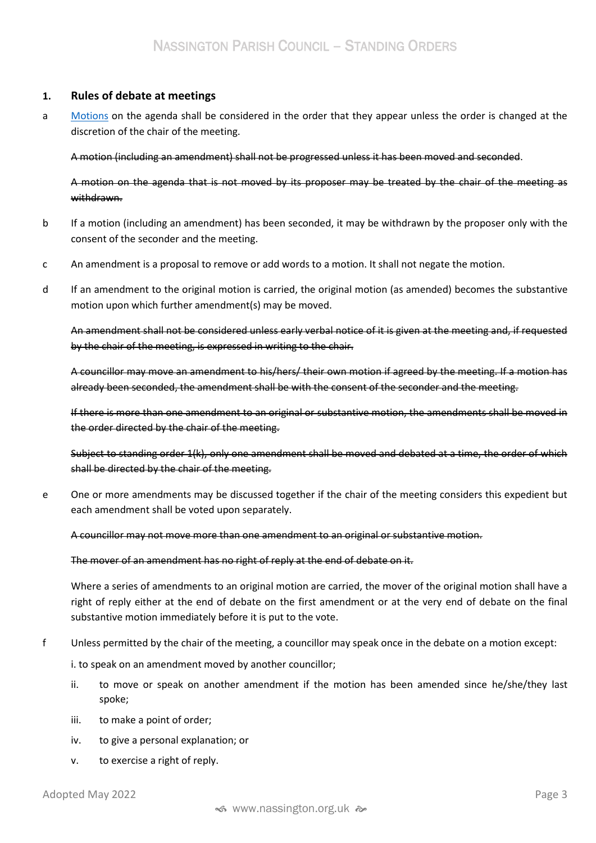# <span id="page-2-0"></span>**1. Rules of debate at meetings**

a [Motions](https://www.lucidmeetings.com/glossary/motion) on the agenda shall be considered in the order that they appear unless the order is changed at the discretion of the chair of the meeting.

A motion (including an amendment) shall not be progressed unless it has been moved and seconded.

A motion on the agenda that is not moved by its proposer may be treated by the chair of the meeting as withdrawn.

- b If a motion (including an amendment) has been seconded, it may be withdrawn by the proposer only with the consent of the seconder and the meeting.
- c An amendment is a proposal to remove or add words to a motion. It shall not negate the motion.
- d If an amendment to the original motion is carried, the original motion (as amended) becomes the substantive motion upon which further amendment(s) may be moved.

An amendment shall not be considered unless early verbal notice of it is given at the meeting and, if requested by the chair of the meeting, is expressed in writing to the chair.

A councillor may move an amendment to his/hers/ their own motion if agreed by the meeting. If a motion has already been seconded, the amendment shall be with the consent of the seconder and the meeting.

If there is more than one amendment to an original or substantive motion, the amendments shall be moved in the order directed by the chair of the meeting.

Subject to standing order 1(k), only one amendment shall be moved and debated at a time, the order of which shall be directed by the chair of the meeting.

e One or more amendments may be discussed together if the chair of the meeting considers this expedient but each amendment shall be voted upon separately.

A councillor may not move more than one amendment to an original or substantive motion.

The mover of an amendment has no right of reply at the end of debate on it.

Where a series of amendments to an original motion are carried, the mover of the original motion shall have a right of reply either at the end of debate on the first amendment or at the very end of debate on the final substantive motion immediately before it is put to the vote.

f Unless permitted by the chair of the meeting, a councillor may speak once in the debate on a motion except:

i. to speak on an amendment moved by another councillor;

- ii. to move or speak on another amendment if the motion has been amended since he/she/they last spoke;
- iii. to make a point of order;
- iv. to give a personal explanation; or
- v. to exercise a right of reply.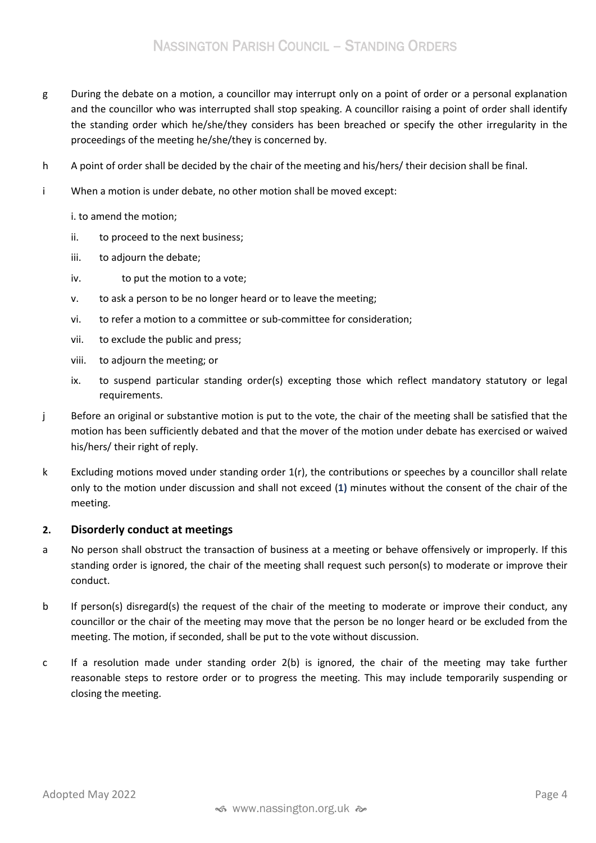- g During the debate on a motion, a councillor may interrupt only on a point of order or a personal explanation and the councillor who was interrupted shall stop speaking. A councillor raising a point of order shall identify the standing order which he/she/they considers has been breached or specify the other irregularity in the proceedings of the meeting he/she/they is concerned by.
- h A point of order shall be decided by the chair of the meeting and his/hers/ their decision shall be final.
- i When a motion is under debate, no other motion shall be moved except:
	- i. to amend the motion;
	- ii. to proceed to the next business;
	- iii. to adjourn the debate;
	- iv. to put the motion to a vote;
	- v. to ask a person to be no longer heard or to leave the meeting;
	- vi. to refer a motion to a committee or sub-committee for consideration;
	- vii. to exclude the public and press;
	- viii. to adjourn the meeting; or
	- ix. to suspend particular standing order(s) excepting those which reflect mandatory statutory or legal requirements.
- j Before an original or substantive motion is put to the vote, the chair of the meeting shall be satisfied that the motion has been sufficiently debated and that the mover of the motion under debate has exercised or waived his/hers/ their right of reply.
- k Excluding motions moved under standing order 1(r), the contributions or speeches by a councillor shall relate only to the motion under discussion and shall not exceed (**1)** minutes without the consent of the chair of the meeting.

## <span id="page-3-0"></span>**2. Disorderly conduct at meetings**

- a No person shall obstruct the transaction of business at a meeting or behave offensively or improperly. If this standing order is ignored, the chair of the meeting shall request such person(s) to moderate or improve their conduct.
- b If person(s) disregard(s) the request of the chair of the meeting to moderate or improve their conduct, any councillor or the chair of the meeting may move that the person be no longer heard or be excluded from the meeting. The motion, if seconded, shall be put to the vote without discussion.
- c If a resolution made under standing order 2(b) is ignored, the chair of the meeting may take further reasonable steps to restore order or to progress the meeting. This may include temporarily suspending or closing the meeting.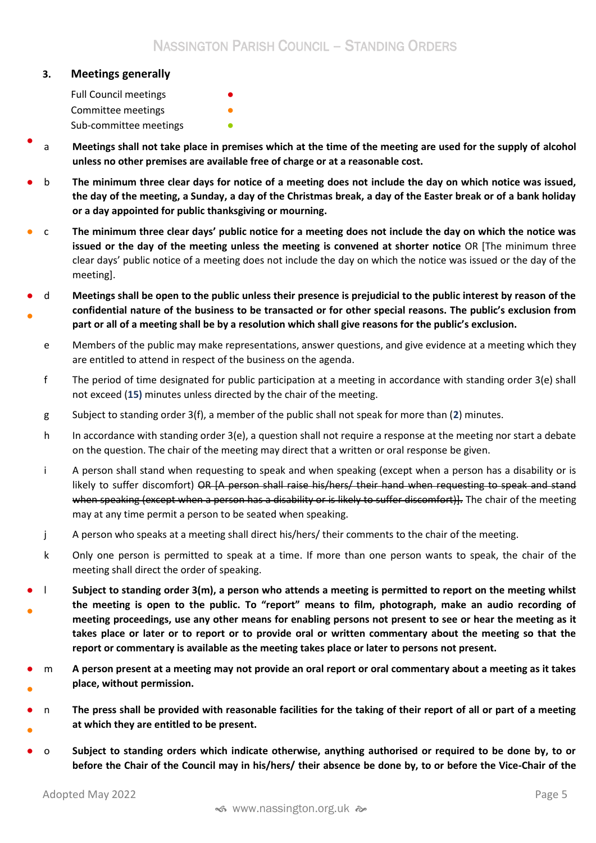### <span id="page-4-0"></span>**3. Meetings generally**

Full Council meetings Committee meetings Sub-committee meetings **•** 

- a **Meetings shall not take place in premises which at the time of the meeting are used for the supply of alcohol unless no other premises are available free of charge or at a reasonable cost.**
- b **The minimum three clear days for notice of a meeting does not include the day on which notice was issued, the day of the meeting, a Sunday, a day of the Christmas break, a day of the Easter break or of a bank holiday or a day appointed for public thanksgiving or mourning.**
- c **The minimum three clear days' public notice for a meeting does not include the day on which the notice was issued or the day of the meeting unless the meeting is convened at shorter notice** OR [The minimum three clear days' public notice of a meeting does not include the day on which the notice was issued or the day of the meeting].
- ● d **Meetings shall be open to the public unless their presence is prejudicial to the public interest by reason of the confidential nature of the business to be transacted or for other special reasons. The public's exclusion from part or all of a meeting shall be by a resolution which shall give reasons for the public's exclusion.**
	- e Members of the public may make representations, answer questions, and give evidence at a meeting which they are entitled to attend in respect of the business on the agenda.
	- f The period of time designated for public participation at a meeting in accordance with standing order 3(e) shall not exceed (**15)** minutes unless directed by the chair of the meeting.
	- g Subject to standing order 3(f), a member of the public shall not speak for more than (**2**) minutes.
	- h In accordance with standing order 3(e), a question shall not require a response at the meeting nor start a debate on the question. The chair of the meeting may direct that a written or oral response be given.
	- i A person shall stand when requesting to speak and when speaking (except when a person has a disability or is likely to suffer discomfort) OR [A person shall raise his/hers/ their hand when requesting to speak and stand when speaking (except when a person has a disability or is likely to suffer discomfort). The chair of the meeting may at any time permit a person to be seated when speaking.
	- j A person who speaks at a meeting shall direct his/hers/ their comments to the chair of the meeting.
	- k Only one person is permitted to speak at a time. If more than one person wants to speak, the chair of the meeting shall direct the order of speaking.
- ● l **Subject to standing order 3(m), a person who attends a meeting is permitted to report on the meeting whilst the meeting is open to the public. To "report" means to film, photograph, make an audio recording of meeting proceedings, use any other means for enabling persons not present to see or hear the meeting as it takes place or later or to report or to provide oral or written commentary about the meeting so that the report or commentary is available as the meeting takes place or later to persons not present.**
- ● m **A person present at a meeting may not provide an oral report or oral commentary about a meeting as it takes place, without permission.**
- ● n **The press shall be provided with reasonable facilities for the taking of their report of all or part of a meeting at which they are entitled to be present.**
- o **Subject to standing orders which indicate otherwise, anything authorised or required to be done by, to or before the Chair of the Council may in his/hers/ their absence be done by, to or before the Vice-Chair of the**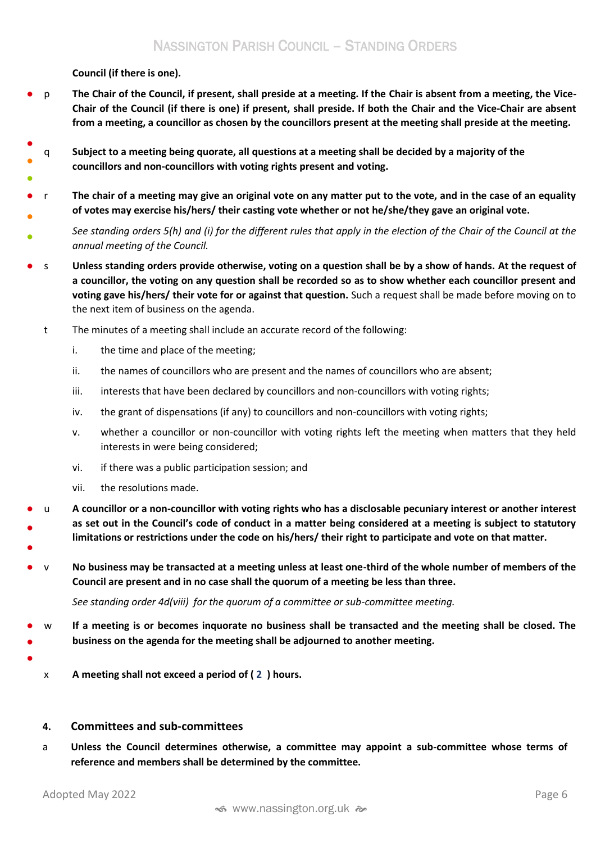**Council (if there is one).**

- p **The Chair of the Council, if present, shall preside at a meeting. If the Chair is absent from a meeting, the Vice-Chair of the Council (if there is one) if present, shall preside. If both the Chair and the Vice-Chair are absent from a meeting, a councillor as chosen by the councillors present at the meeting shall preside at the meeting.**
- ● q **Subject to a meeting being quorate, all questions at a meeting shall be decided by a majority of the councillors and non-councillors with voting rights present and voting.**
- ● r **The chair of a meeting may give an original vote on any matter put to the vote, and in the case of an equality of votes may exercise his/hers/ their casting vote whether or not he/she/they gave an original vote.**
- *See standing orders 5(h) and (i) for the different rules that apply in the election of the Chair of the Council at the annual meeting of the Council.*
- s **Unless standing orders provide otherwise, voting on a question shall be by a show of hands. At the request of a councillor, the voting on any question shall be recorded so as to show whether each councillor present and voting gave his/hers/ their vote for or against that question.** Such a request shall be made before moving on to the next item of business on the agenda.
	- t The minutes of a meeting shall include an accurate record of the following:
		- i. the time and place of the meeting;
		- ii. the names of councillors who are present and the names of councillors who are absent;
		- iii. interests that have been declared by councillors and non-councillors with voting rights;
		- iv. the grant of dispensations (if any) to councillors and non-councillors with voting rights;
		- v. whether a councillor or non-councillor with voting rights left the meeting when matters that they held interests in were being considered;
		- vi. if there was a public participation session; and
		- vii. the resolutions made.
- ● ● u **A councillor or a non-councillor with voting rights who has a disclosable pecuniary interest or another interest as set out in the Council's code of conduct in a matter being considered at a meeting is subject to statutory limitations or restrictions under the code on his/hers/ their right to participate and vote on that matter.**
- v **No business may be transacted at a meeting unless at least one-third of the whole number of members of the Council are present and in no case shall the quorum of a meeting be less than three.**

*See standing order 4d(viii) for the quorum of a committee or sub-committee meeting.* 

- ● w **If a meeting is or becomes inquorate no business shall be transacted and the meeting shall be closed. The business on the agenda for the meeting shall be adjourned to another meeting.**
- ●

●

x **A meeting shall not exceed a period of ( 2 ) hours.**

## <span id="page-5-0"></span>**4. Committees and sub-committees**

a **Unless the Council determines otherwise, a committee may appoint a sub-committee whose terms of reference and members shall be determined by the committee.**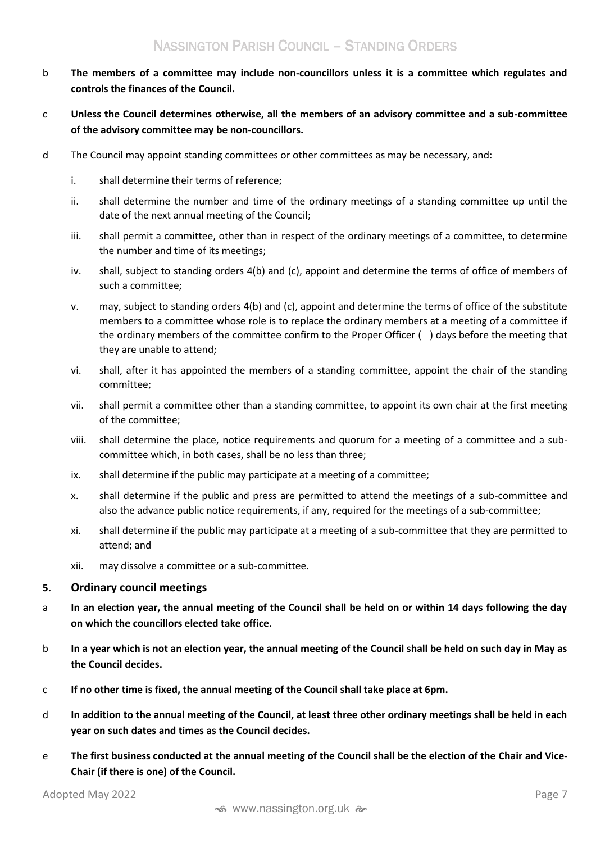- b **The members of a committee may include non-councillors unless it is a committee which regulates and controls the finances of the Council.**
- c **Unless the Council determines otherwise, all the members of an advisory committee and a sub-committee of the advisory committee may be non-councillors.**
- d The Council may appoint standing committees or other committees as may be necessary, and:
	- i. shall determine their terms of reference;
	- ii. shall determine the number and time of the ordinary meetings of a standing committee up until the date of the next annual meeting of the Council;
	- iii. shall permit a committee, other than in respect of the ordinary meetings of a committee, to determine the number and time of its meetings;
	- iv. shall, subject to standing orders 4(b) and (c), appoint and determine the terms of office of members of such a committee;
	- v. may, subject to standing orders 4(b) and (c), appoint and determine the terms of office of the substitute members to a committee whose role is to replace the ordinary members at a meeting of a committee if the ordinary members of the committee confirm to the Proper Officer ( ) days before the meeting that they are unable to attend;
	- vi. shall, after it has appointed the members of a standing committee, appoint the chair of the standing committee;
	- vii. shall permit a committee other than a standing committee, to appoint its own chair at the first meeting of the committee;
	- viii. shall determine the place, notice requirements and quorum for a meeting of a committee and a subcommittee which, in both cases, shall be no less than three;
	- ix. shall determine if the public may participate at a meeting of a committee;
	- x. shall determine if the public and press are permitted to attend the meetings of a sub-committee and also the advance public notice requirements, if any, required for the meetings of a sub-committee;
	- xi. shall determine if the public may participate at a meeting of a sub-committee that they are permitted to attend; and
	- xii. may dissolve a committee or a sub-committee.

## <span id="page-6-0"></span>**5. Ordinary council meetings**

- a **In an election year, the annual meeting of the Council shall be held on or within 14 days following the day on which the councillors elected take office.**
- b **In a year which is not an election year, the annual meeting of the Council shall be held on such day in May as the Council decides.**
- c **If no other time is fixed, the annual meeting of the Council shall take place at 6pm.**
- d **In addition to the annual meeting of the Council, at least three other ordinary meetings shall be held in each year on such dates and times as the Council decides.**
- e **The first business conducted at the annual meeting of the Council shall be the election of the Chair and Vice-Chair (if there is one) of the Council.**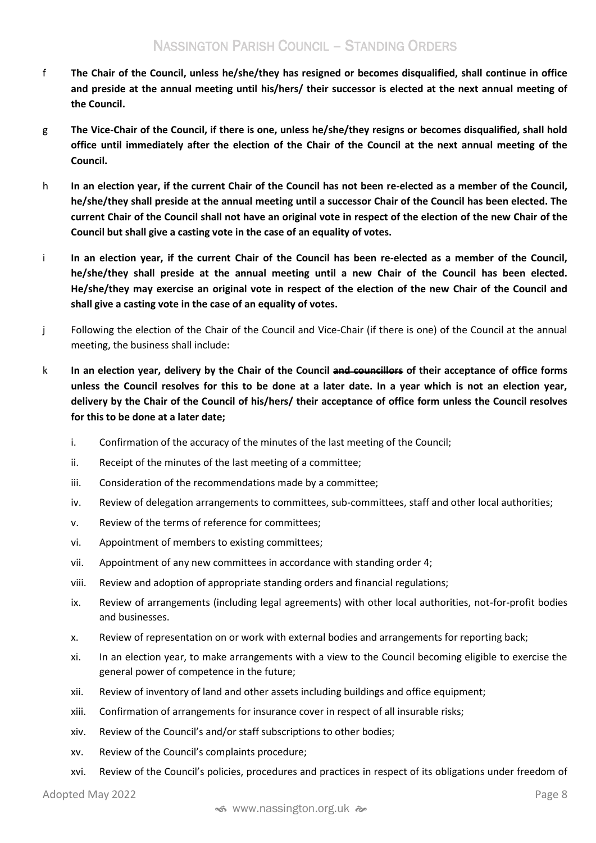- f **The Chair of the Council, unless he/she/they has resigned or becomes disqualified, shall continue in office and preside at the annual meeting until his/hers/ their successor is elected at the next annual meeting of the Council.**
- g **The Vice-Chair of the Council, if there is one, unless he/she/they resigns or becomes disqualified, shall hold office until immediately after the election of the Chair of the Council at the next annual meeting of the Council.**
- h **In an election year, if the current Chair of the Council has not been re-elected as a member of the Council, he/she/they shall preside at the annual meeting until a successor Chair of the Council has been elected. The current Chair of the Council shall not have an original vote in respect of the election of the new Chair of the Council but shall give a casting vote in the case of an equality of votes.**
- i **In an election year, if the current Chair of the Council has been re-elected as a member of the Council, he/she/they shall preside at the annual meeting until a new Chair of the Council has been elected. He/she/they may exercise an original vote in respect of the election of the new Chair of the Council and shall give a casting vote in the case of an equality of votes.**
- j Following the election of the Chair of the Council and Vice-Chair (if there is one) of the Council at the annual meeting, the business shall include:
- k **In an election year, delivery by the Chair of the Council and councillors of their acceptance of office forms unless the Council resolves for this to be done at a later date. In a year which is not an election year, delivery by the Chair of the Council of his/hers/ their acceptance of office form unless the Council resolves for this to be done at a later date;**
	- i. Confirmation of the accuracy of the minutes of the last meeting of the Council;
	- ii. Receipt of the minutes of the last meeting of a committee;
	- iii. Consideration of the recommendations made by a committee;
	- iv. Review of delegation arrangements to committees, sub-committees, staff and other local authorities;
	- v. Review of the terms of reference for committees;
	- vi. Appointment of members to existing committees;
	- vii. Appointment of any new committees in accordance with standing order 4;
	- viii. Review and adoption of appropriate standing orders and financial regulations;
	- ix. Review of arrangements (including legal agreements) with other local authorities, not-for-profit bodies and businesses.
	- x. Review of representation on or work with external bodies and arrangements for reporting back;
	- xi. In an election year, to make arrangements with a view to the Council becoming eligible to exercise the general power of competence in the future;
	- xii. Review of inventory of land and other assets including buildings and office equipment;
	- xiii. Confirmation of arrangements for insurance cover in respect of all insurable risks;
	- xiv. Review of the Council's and/or staff subscriptions to other bodies;
	- xv. Review of the Council's complaints procedure;
	- xvi. Review of the Council's policies, procedures and practices in respect of its obligations under freedom of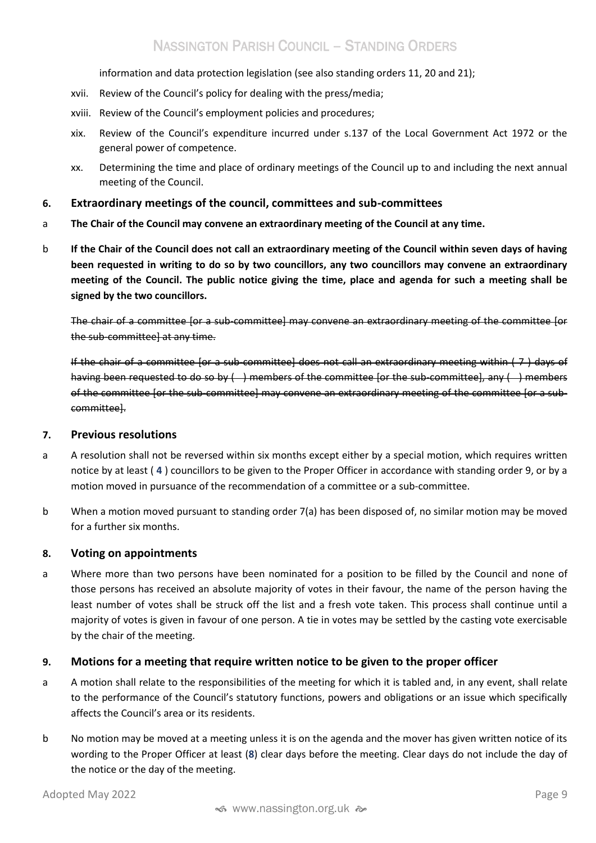information and data protection legislation (see also standing orders 11, 20 and 21);

- xvii. Review of the Council's policy for dealing with the press/media;
- xviii. Review of the Council's employment policies and procedures;
- xix. Review of the Council's expenditure incurred under s.137 of the Local Government Act 1972 or the general power of competence.
- xx. Determining the time and place of ordinary meetings of the Council up to and including the next annual meeting of the Council.

### <span id="page-8-0"></span>**6. Extraordinary meetings of the council, committees and sub-committees**

- a **The Chair of the Council may convene an extraordinary meeting of the Council at any time.**
- b **If the Chair of the Council does not call an extraordinary meeting of the Council within seven days of having been requested in writing to do so by two councillors, any two councillors may convene an extraordinary meeting of the Council. The public notice giving the time, place and agenda for such a meeting shall be signed by the two councillors.**

The chair of a committee [or a sub-committee] may convene an extraordinary meeting of the committee [or the sub-committee] at any time.

If the chair of a committee [or a sub-committee] does not call an extraordinary meeting within ( 7 ) days of having been requested to do so by () members of the committee [or the sub-committee], any () members of the committee [or the sub-committee] may convene an extraordinary meeting of the committee [or a subcommittee].

#### <span id="page-8-1"></span>**7. Previous resolutions**

- a A resolution shall not be reversed within six months except either by a special motion, which requires written notice by at least ( **4** ) councillors to be given to the Proper Officer in accordance with standing order 9, or by a motion moved in pursuance of the recommendation of a committee or a sub-committee.
- b When a motion moved pursuant to standing order 7(a) has been disposed of, no similar motion may be moved for a further six months.

#### <span id="page-8-2"></span>**8. Voting on appointments**

a Where more than two persons have been nominated for a position to be filled by the Council and none of those persons has received an absolute majority of votes in their favour, the name of the person having the least number of votes shall be struck off the list and a fresh vote taken. This process shall continue until a majority of votes is given in favour of one person. A tie in votes may be settled by the casting vote exercisable by the chair of the meeting.

## <span id="page-8-3"></span>**9. Motions for a meeting that require written notice to be given to the proper officer**

- a A motion shall relate to the responsibilities of the meeting for which it is tabled and, in any event, shall relate to the performance of the Council's statutory functions, powers and obligations or an issue which specifically affects the Council's area or its residents.
- b No motion may be moved at a meeting unless it is on the agenda and the mover has given written notice of its wording to the Proper Officer at least (**8**) clear days before the meeting. Clear days do not include the day of the notice or the day of the meeting.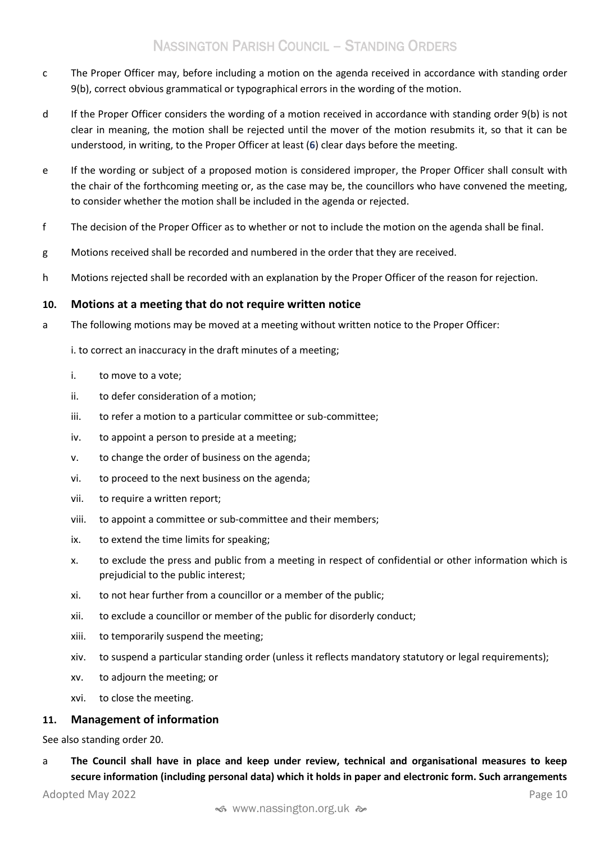- c The Proper Officer may, before including a motion on the agenda received in accordance with standing order 9(b), correct obvious grammatical or typographical errors in the wording of the motion.
- d If the Proper Officer considers the wording of a motion received in accordance with standing order 9(b) is not clear in meaning, the motion shall be rejected until the mover of the motion resubmits it, so that it can be understood, in writing, to the Proper Officer at least (**6**) clear days before the meeting.
- e If the wording or subject of a proposed motion is considered improper, the Proper Officer shall consult with the chair of the forthcoming meeting or, as the case may be, the councillors who have convened the meeting, to consider whether the motion shall be included in the agenda or rejected.
- f The decision of the Proper Officer as to whether or not to include the motion on the agenda shall be final.
- g Motions received shall be recorded and numbered in the order that they are received.
- h Motions rejected shall be recorded with an explanation by the Proper Officer of the reason for rejection.

#### <span id="page-9-0"></span>**10. Motions at a meeting that do not require written notice**

a The following motions may be moved at a meeting without written notice to the Proper Officer:

i. to correct an inaccuracy in the draft minutes of a meeting;

- i. to move to a vote;
- ii. to defer consideration of a motion;
- iii. to refer a motion to a particular committee or sub-committee;
- iv. to appoint a person to preside at a meeting;
- v. to change the order of business on the agenda;
- vi. to proceed to the next business on the agenda;
- vii. to require a written report;
- viii. to appoint a committee or sub-committee and their members;
- ix. to extend the time limits for speaking;
- x. to exclude the press and public from a meeting in respect of confidential or other information which is prejudicial to the public interest;
- xi. to not hear further from a councillor or a member of the public;
- xii. to exclude a councillor or member of the public for disorderly conduct;
- xiii. to temporarily suspend the meeting;
- xiv. to suspend a particular standing order (unless it reflects mandatory statutory or legal requirements);
- xv. to adjourn the meeting; or
- xvi. to close the meeting.

#### <span id="page-9-1"></span>**11. Management of information**

See also standing order 20.

a **The Council shall have in place and keep under review, technical and organisational measures to keep secure information (including personal data) which it holds in paper and electronic form. Such arrangements**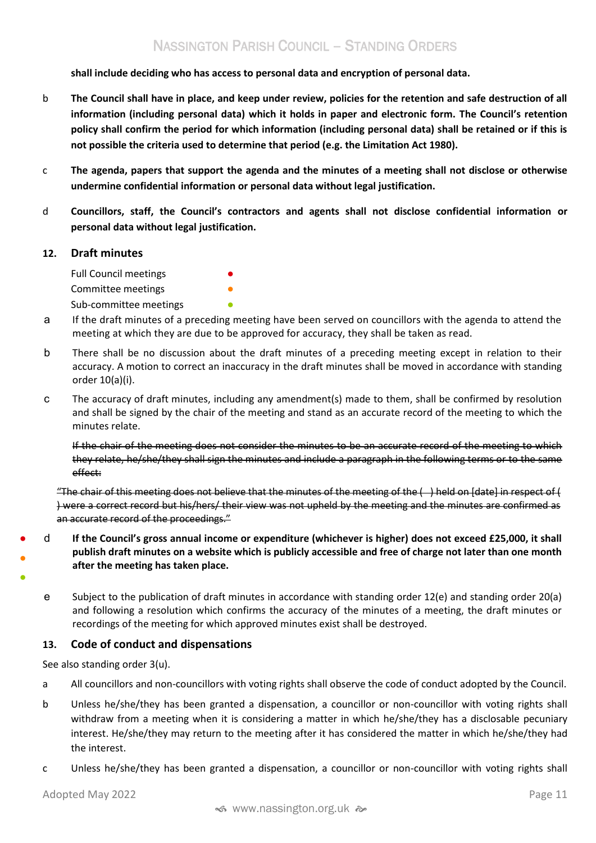**shall include deciding who has access to personal data and encryption of personal data.** 

- b **The Council shall have in place, and keep under review, policies for the retention and safe destruction of all information (including personal data) which it holds in paper and electronic form. The Council's retention policy shall confirm the period for which information (including personal data) shall be retained or if this is not possible the criteria used to determine that period (e.g. the Limitation Act 1980).**
- c **The agenda, papers that support the agenda and the minutes of a meeting shall not disclose or otherwise undermine confidential information or personal data without legal justification.**
- d **Councillors, staff, the Council's contractors and agents shall not disclose confidential information or personal data without legal justification.**

#### <span id="page-10-0"></span>**12. Draft minutes**

Full Council meetings

Committee meetings Sub-committee meetings  $\bullet$ 

- a If the draft minutes of a preceding meeting have been served on councillors with the agenda to attend the meeting at which they are due to be approved for accuracy, they shall be taken as read.
- b There shall be no discussion about the draft minutes of a preceding meeting except in relation to their accuracy. A motion to correct an inaccuracy in the draft minutes shall be moved in accordance with standing order 10(a)(i).
- c The accuracy of draft minutes, including any amendment(s) made to them, shall be confirmed by resolution and shall be signed by the chair of the meeting and stand as an accurate record of the meeting to which the minutes relate.

If the chair of the meeting does not consider the minutes to be an accurate record of the meeting to which they relate, he/she/they shall sign the minutes and include a paragraph in the following terms or to the same effect:

"The chair of this meeting does not believe that the minutes of the meeting of the  $($ ) held on [date] in respect of  $($ ) were a correct record but his/hers/ their view was not upheld by the meeting and the minutes are confirmed as an accurate record of the proceedings."

- ● d **If the Council's gross annual income or expenditure (whichever is higher) does not exceed £25,000, it shall publish draft minutes on a website which is publicly accessible and free of charge not later than one month after the meeting has taken place.**
- ●
- e Subject to the publication of draft minutes in accordance with standing order 12(e) and standing order 20(a) and following a resolution which confirms the accuracy of the minutes of a meeting, the draft minutes or recordings of the meeting for which approved minutes exist shall be destroyed.

## <span id="page-10-1"></span>**13. Code of conduct and dispensations**

See also standing order 3(u).

- a All councillors and non-councillors with voting rights shall observe the code of conduct adopted by the Council.
- b Unless he/she/they has been granted a dispensation, a councillor or non-councillor with voting rights shall withdraw from a meeting when it is considering a matter in which he/she/they has a disclosable pecuniary interest. He/she/they may return to the meeting after it has considered the matter in which he/she/they had the interest.
- c Unless he/she/they has been granted a dispensation, a councillor or non-councillor with voting rights shall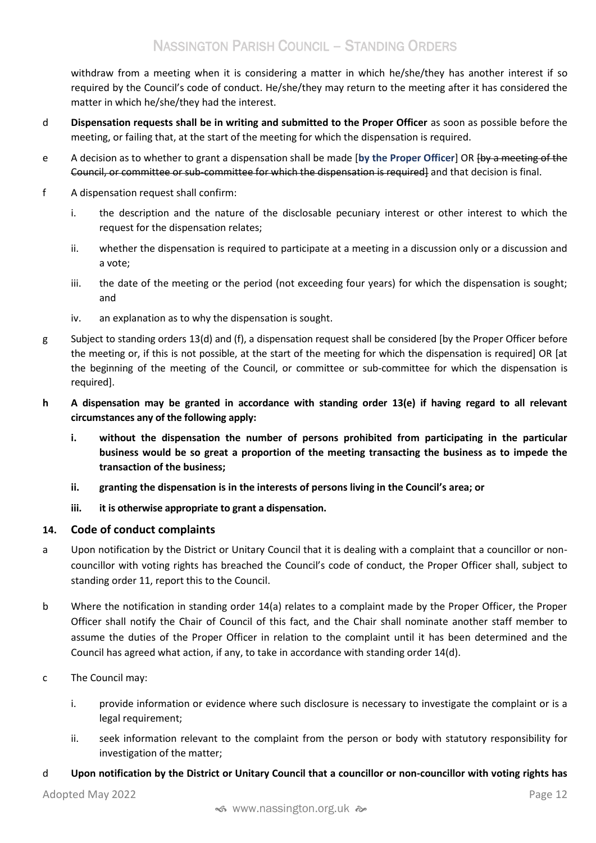withdraw from a meeting when it is considering a matter in which he/she/they has another interest if so required by the Council's code of conduct. He/she/they may return to the meeting after it has considered the matter in which he/she/they had the interest.

- d **Dispensation requests shall be in writing and submitted to the Proper Officer** as soon as possible before the meeting, or failing that, at the start of the meeting for which the dispensation is required.
- e A decision as to whether to grant a dispensation shall be made [**by the Proper Officer**] OR [by a meeting of the Council, or committee or sub-committee for which the dispensation is required] and that decision is final.
- f A dispensation request shall confirm:
	- i. the description and the nature of the disclosable pecuniary interest or other interest to which the request for the dispensation relates;
	- ii. whether the dispensation is required to participate at a meeting in a discussion only or a discussion and a vote;
	- iii. the date of the meeting or the period (not exceeding four years) for which the dispensation is sought; and
	- iv. an explanation as to why the dispensation is sought.
- g Subject to standing orders 13(d) and (f), a dispensation request shall be considered [by the Proper Officer before the meeting or, if this is not possible, at the start of the meeting for which the dispensation is required] OR [at the beginning of the meeting of the Council, or committee or sub-committee for which the dispensation is required].
- **h A dispensation may be granted in accordance with standing order 13(e) if having regard to all relevant circumstances any of the following apply:**
	- **i. without the dispensation the number of persons prohibited from participating in the particular business would be so great a proportion of the meeting transacting the business as to impede the transaction of the business;**
	- **ii. granting the dispensation is in the interests of persons living in the Council's area; or**
	- **iii. it is otherwise appropriate to grant a dispensation.**

## <span id="page-11-0"></span>**14. Code of conduct complaints**

- a Upon notification by the District or Unitary Council that it is dealing with a complaint that a councillor or noncouncillor with voting rights has breached the Council's code of conduct, the Proper Officer shall, subject to standing order 11, report this to the Council.
- b Where the notification in standing order 14(a) relates to a complaint made by the Proper Officer, the Proper Officer shall notify the Chair of Council of this fact, and the Chair shall nominate another staff member to assume the duties of the Proper Officer in relation to the complaint until it has been determined and the Council has agreed what action, if any, to take in accordance with standing order 14(d).
- c The Council may:
	- i. provide information or evidence where such disclosure is necessary to investigate the complaint or is a legal requirement;
	- ii. seek information relevant to the complaint from the person or body with statutory responsibility for investigation of the matter;

## d **Upon notification by the District or Unitary Council that a councillor or non-councillor with voting rights has**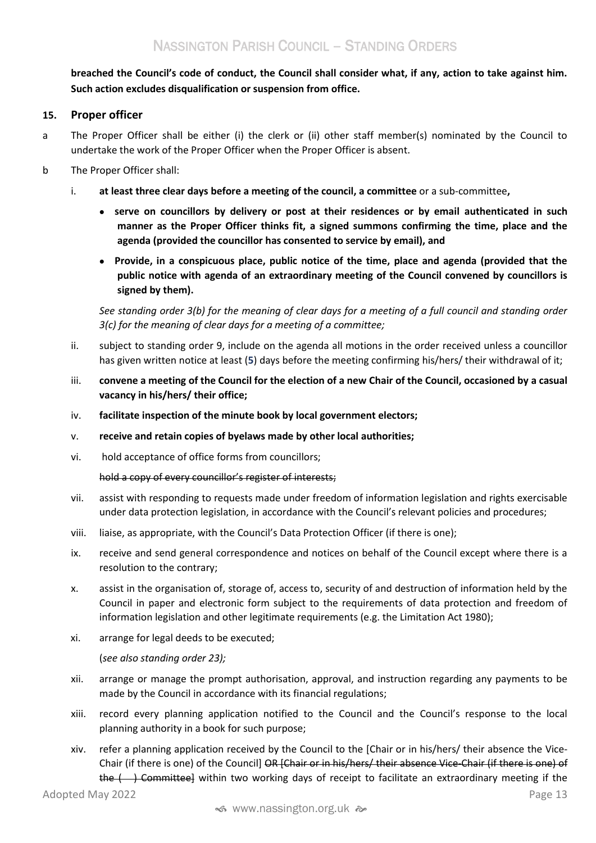**breached the Council's code of conduct, the Council shall consider what, if any, action to take against him. Such action excludes disqualification or suspension from office.**

# <span id="page-12-0"></span>**15. Proper officer**

- a The Proper Officer shall be either (i) the clerk or (ii) other staff member(s) nominated by the Council to undertake the work of the Proper Officer when the Proper Officer is absent.
- b The Proper Officer shall:
	- i. **at least three clear days before a meeting of the council, a committee** or a sub-committee**,**
		- **serve on councillors by delivery or post at their residences or by email authenticated in such manner as the Proper Officer thinks fit, a signed summons confirming the time, place and the agenda (provided the councillor has consented to service by email), and**
		- **Provide, in a conspicuous place, public notice of the time, place and agenda (provided that the public notice with agenda of an extraordinary meeting of the Council convened by councillors is signed by them).**

*See standing order 3(b) for the meaning of clear days for a meeting of a full council and standing order 3(c) for the meaning of clear days for a meeting of a committee;*

- ii. subject to standing order 9, include on the agenda all motions in the order received unless a councillor has given written notice at least (**5**) days before the meeting confirming his/hers/ their withdrawal of it;
- iii. **convene a meeting of the Council for the election of a new Chair of the Council, occasioned by a casual vacancy in his/hers/ their office;**
- iv. **facilitate inspection of the minute book by local government electors;**
- v. **receive and retain copies of byelaws made by other local authorities;**
- vi. hold acceptance of office forms from councillors;

hold a copy of every councillor's register of interests;

- vii. assist with responding to requests made under freedom of information legislation and rights exercisable under data protection legislation, in accordance with the Council's relevant policies and procedures;
- viii. liaise, as appropriate, with the Council's Data Protection Officer (if there is one);
- ix. receive and send general correspondence and notices on behalf of the Council except where there is a resolution to the contrary;
- x. assist in the organisation of, storage of, access to, security of and destruction of information held by the Council in paper and electronic form subject to the requirements of data protection and freedom of information legislation and other legitimate requirements (e.g. the Limitation Act 1980);
- xi. arrange for legal deeds to be executed;

(*see also standing order 23);*

- xii. arrange or manage the prompt authorisation, approval, and instruction regarding any payments to be made by the Council in accordance with its financial regulations;
- xiii. record every planning application notified to the Council and the Council's response to the local planning authority in a book for such purpose;
- Adopted May 2022 **Page 13** xiv. refer a planning application received by the Council to the [Chair or in his/hers/ their absence the Vice-Chair (if there is one) of the Council] OR [Chair or in his/hers/ their absence Vice-Chair (if there is one) of the  $($ ) Committee] within two working days of receipt to facilitate an extraordinary meeting if the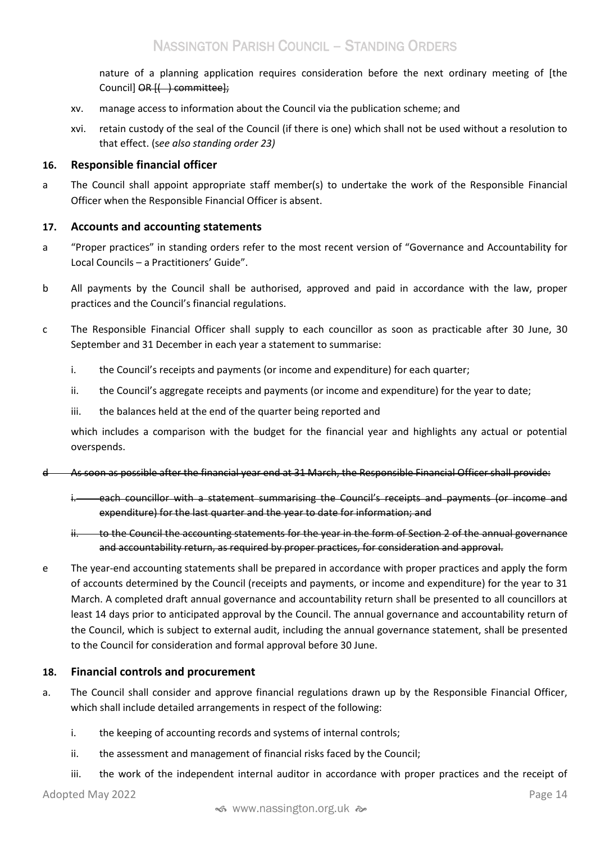nature of a planning application requires consideration before the next ordinary meeting of [the Council] OR  $\{\leftrightarrow\}$  committee];

- xv. manage access to information about the Council via the publication scheme; and
- xvi. retain custody of the seal of the Council (if there is one) which shall not be used without a resolution to that effect. (s*ee also standing order 23)*

# <span id="page-13-0"></span>**16. Responsible financial officer**

a The Council shall appoint appropriate staff member(s) to undertake the work of the Responsible Financial Officer when the Responsible Financial Officer is absent.

# <span id="page-13-1"></span>**17. Accounts and accounting statements**

- a "Proper practices" in standing orders refer to the most recent version of "Governance and Accountability for Local Councils – a Practitioners' Guide".
- b All payments by the Council shall be authorised, approved and paid in accordance with the law, proper practices and the Council's financial regulations.
- c The Responsible Financial Officer shall supply to each councillor as soon as practicable after 30 June, 30 September and 31 December in each year a statement to summarise:
	- i. the Council's receipts and payments (or income and expenditure) for each quarter;
	- ii. the Council's aggregate receipts and payments (or income and expenditure) for the year to date;
	- iii. the balances held at the end of the quarter being reported and

which includes a comparison with the budget for the financial year and highlights any actual or potential overspends.

- d As soon as possible after the financial year end at 31 March, the Responsible Financial Officer shall provide:
	- i. each councillor with a statement summarising the Council's receipts and payments (or income and expenditure) for the last quarter and the year to date for information; and
	- ii. to the Council the accounting statements for the year in the form of Section 2 of the annual governance and accountability return, as required by proper practices, for consideration and approval.
- e The year-end accounting statements shall be prepared in accordance with proper practices and apply the form of accounts determined by the Council (receipts and payments, or income and expenditure) for the year to 31 March. A completed draft annual governance and accountability return shall be presented to all councillors at least 14 days prior to anticipated approval by the Council. The annual governance and accountability return of the Council, which is subject to external audit, including the annual governance statement, shall be presented to the Council for consideration and formal approval before 30 June.

## <span id="page-13-2"></span>**18. Financial controls and procurement**

- a. The Council shall consider and approve financial regulations drawn up by the Responsible Financial Officer, which shall include detailed arrangements in respect of the following:
	- i. the keeping of accounting records and systems of internal controls;
	- ii. the assessment and management of financial risks faced by the Council;
	- iii. the work of the independent internal auditor in accordance with proper practices and the receipt of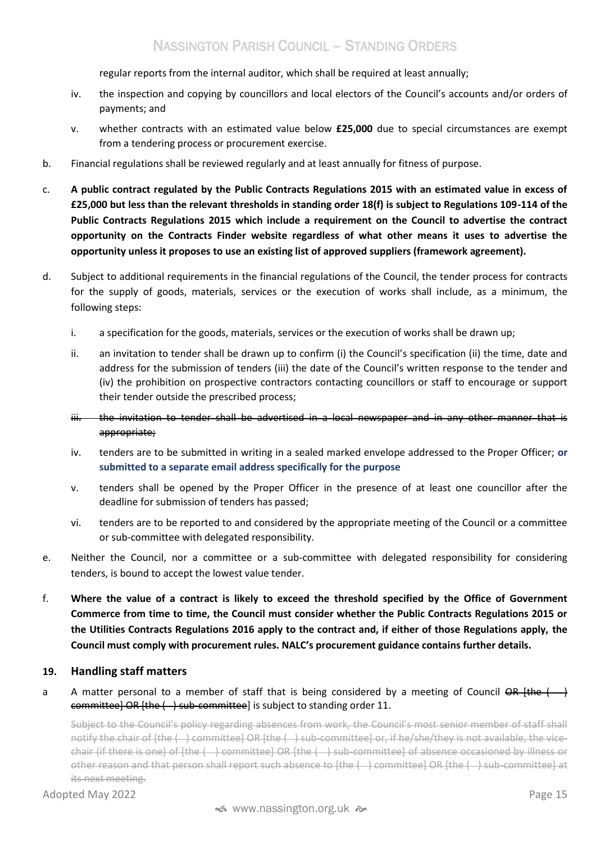regular reports from the internal auditor, which shall be required at least annually;

- iv. the inspection and copying by councillors and local electors of the Council's accounts and/or orders of payments; and
- v. whether contracts with an estimated value below **£25,000** due to special circumstances are exempt from a tendering process or procurement exercise.
- b. Financial regulations shall be reviewed regularly and at least annually for fitness of purpose.
- c. **A public contract regulated by the Public Contracts Regulations 2015 with an estimated value in excess of £25,000 but less than the relevant thresholds in standing order 18(f) is subject to Regulations 109-114 of the Public Contracts Regulations 2015 which include a requirement on the Council to advertise the contract opportunity on the Contracts Finder website regardless of what other means it uses to advertise the opportunity unless it proposes to use an existing list of approved suppliers (framework agreement).**
- d. Subject to additional requirements in the financial regulations of the Council, the tender process for contracts for the supply of goods, materials, services or the execution of works shall include, as a minimum, the following steps:
	- i. a specification for the goods, materials, services or the execution of works shall be drawn up;
	- ii. an invitation to tender shall be drawn up to confirm (i) the Council's specification (ii) the time, date and address for the submission of tenders (iii) the date of the Council's written response to the tender and (iv) the prohibition on prospective contractors contacting councillors or staff to encourage or support their tender outside the prescribed process;
	- iii. the invitation to tender shall be advertised in a local newspaper and in any other manner that is appropriate;
	- iv. tenders are to be submitted in writing in a sealed marked envelope addressed to the Proper Officer; **or submitted to a separate email address specifically for the purpose**
	- v. tenders shall be opened by the Proper Officer in the presence of at least one councillor after the deadline for submission of tenders has passed;
	- vi. tenders are to be reported to and considered by the appropriate meeting of the Council or a committee or sub-committee with delegated responsibility.
- e. Neither the Council, nor a committee or a sub-committee with delegated responsibility for considering tenders, is bound to accept the lowest value tender.
- f. **Where the value of a contract is likely to exceed the threshold specified by the Office of Government Commerce from time to time, the Council must consider whether the Public Contracts Regulations 2015 or the Utilities Contracts Regulations 2016 apply to the contract and, if either of those Regulations apply, the Council must comply with procurement rules. NALC's procurement guidance contains further details.**

# <span id="page-14-0"></span>**19. Handling staff matters**

a A matter personal to a member of staff that is being considered by a meeting of Council  $\overrightarrow{OR}$  (the  $\overrightarrow{)}$ committee] OR [the ( ) sub-committee] is subject to standing order 11.

Subject to the Council's policy regarding absences from work, the Council's most senior member of staff shall notify the chair of [the ( ) committee] OR [the ( ) sub-committee] or, if he/she/they is not available, the vicechair (if there is one) of [the ( ) committee] OR [the ( ) sub-committee] of absence occasioned by illness or other reason and that person shall report such absence to [the ( ) committee] OR [the ( ) sub-committee] at its next meeting.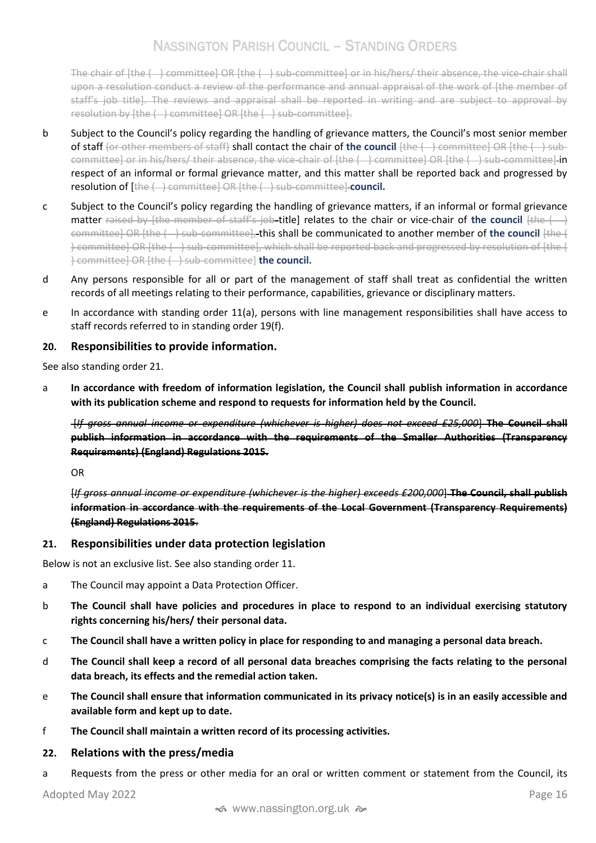The chair of [the ( ) committee] OR [the ( ) sub-committee] or in his/hers/ their absence, the vice-chair shall upon a resolution conduct a review of the performance and annual appraisal of the work of [the member of staff's job title]. The reviews and appraisal shall be reported in writing and are subject to approval by resolution by [the ( ) committee] OR [the ( ) sub-committee].

- b Subject to the Council's policy regarding the handling of grievance matters, the Council's most senior member of staff (or other members of staff) shall contact the chair of **the council** [the ( ) committee] OR [the ( ) subcommittee] or in his/hers/ their absence, the vice-chair of [the ( ) committee] OR [the ( ) sub-committee] in respect of an informal or formal grievance matter, and this matter shall be reported back and progressed by resolution of [the ( ) committee] OR [the ( ) sub-committee] **council.**
- c Subject to the Council's policy regarding the handling of grievance matters, if an informal or formal grievance matter raised by [the member of staff's job-title] relates to the chair or vice-chair of the council [the ( ) committee] OR [the ( ) sub-committee], this shall be communicated to another member of **the council** [the ( ) committee] OR [the ( ) sub-committee], which shall be reported back and progressed by resolution of [the ( ) committee] OR [the ( ) sub-committee] **the council.**
- d Any persons responsible for all or part of the management of staff shall treat as confidential the written records of all meetings relating to their performance, capabilities, grievance or disciplinary matters.
- e In accordance with standing order 11(a), persons with line management responsibilities shall have access to staff records referred to in standing order 19(f).

# <span id="page-15-0"></span>**20. Responsibilities to provide information.**

See also standing order 21.

a **In accordance with freedom of information legislation, the Council shall publish information in accordance with its publication scheme and respond to requests for information held by the Council.** 

[*If gross annual income or expenditure (whichever is higher) does not exceed £25,000*] **The Council shall publish information in accordance with the requirements of the Smaller Authorities (Transparency Requirements) (England) Regulations 2015.**

OR

[*If gross annual income or expenditure (whichever is the higher) exceeds £200,000*] **The Council, shall publish information in accordance with the requirements of the Local Government (Transparency Requirements) (England) Regulations 2015**.

## <span id="page-15-1"></span>**21. Responsibilities under data protection legislation**

Below is not an exclusive list. See also standing order 11.

- a The Council may appoint a Data Protection Officer.
- b **The Council shall have policies and procedures in place to respond to an individual exercising statutory rights concerning his/hers/ their personal data.**
- c **The Council shall have a written policy in place for responding to and managing a personal data breach.**
- d **The Council shall keep a record of all personal data breaches comprising the facts relating to the personal data breach, its effects and the remedial action taken.**
- e **The Council shall ensure that information communicated in its privacy notice(s) is in an easily accessible and available form and kept up to date.**
- f **The Council shall maintain a written record of its processing activities.**
- <span id="page-15-2"></span>**22. Relations with the press/media**
- a Requests from the press or other media for an oral or written comment or statement from the Council, its